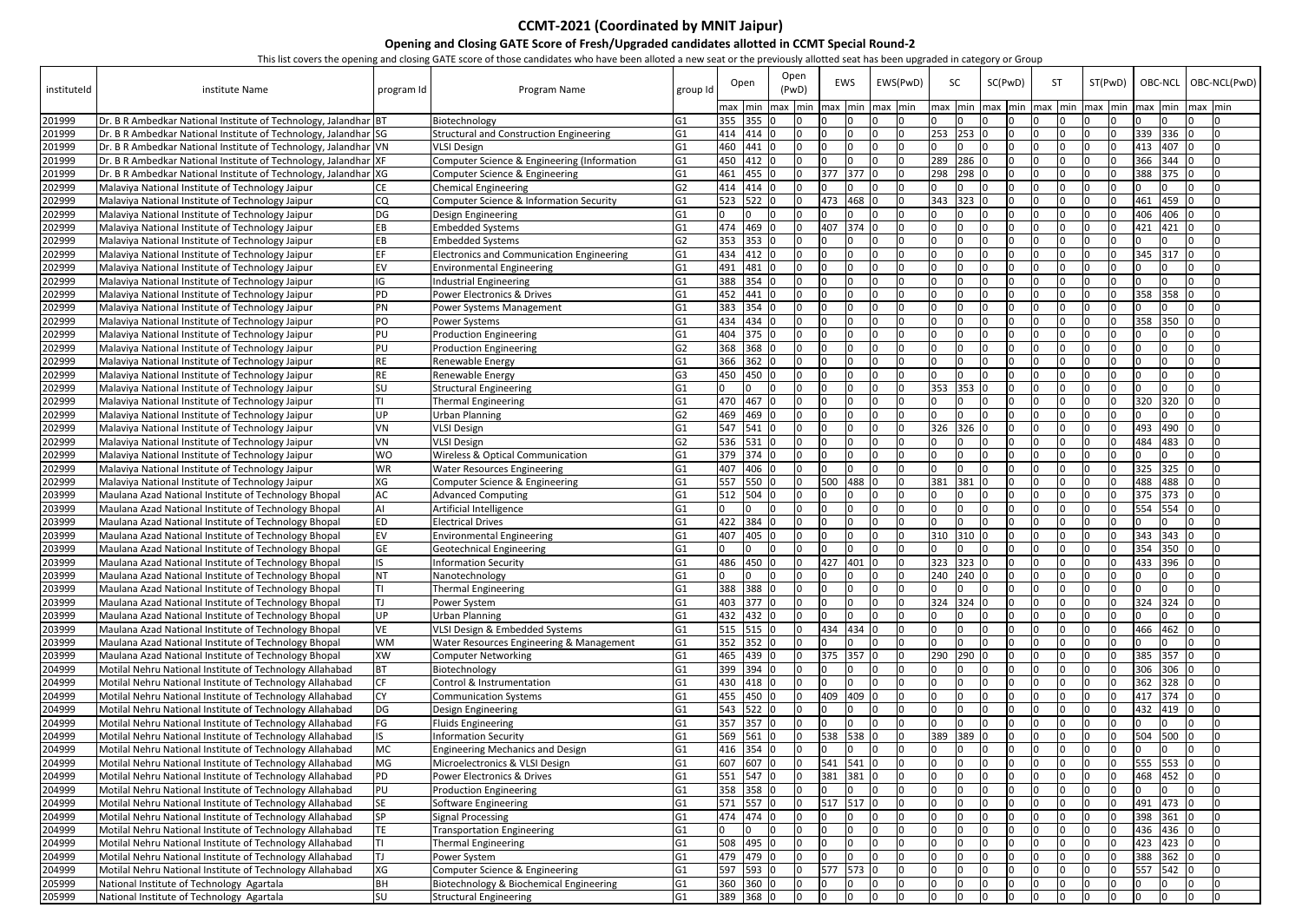| instituteld      | institute Name                                                                                       | program Id      | monocovers the opening and closing OATE score of those candidates who have been anoted a new scat of the previously anoteca seat has been approach in category or Group<br>Program Name | group Id                         |            | Open               | Open<br>(PwD) |     | EWS                                    | EWS(PwD) |           | SC       | SC(PwD)   |     | <b>ST</b> | ST(PwD)                                          |            | OBC-NCL        |         | OBC-NCL(PwD) |
|------------------|------------------------------------------------------------------------------------------------------|-----------------|-----------------------------------------------------------------------------------------------------------------------------------------------------------------------------------------|----------------------------------|------------|--------------------|---------------|-----|----------------------------------------|----------|-----------|----------|-----------|-----|-----------|--------------------------------------------------|------------|----------------|---------|--------------|
|                  |                                                                                                      |                 |                                                                                                                                                                                         |                                  |            |                    |               |     | max  min  max  min  max  min  max  min |          |           |          |           |     |           | max  min  max  min  max  min  max  min  max  min |            |                | max min |              |
| 201999           | Dr. B R Ambedkar National Institute of Technology, Jalandhar BT                                      |                 | Biotechnology                                                                                                                                                                           | IG1                              | 355        | 355 0              |               |     |                                        |          |           | I٥       |           |     |           |                                                  |            |                |         |              |
| 201999           | Dr. B R Ambedkar National Institute of Technology, Jalandhar SG                                      |                 | <b>Structural and Construction Engineering</b>                                                                                                                                          | G <sub>1</sub>                   | 460        | 414 414 0<br>441 0 | 0<br>I٥       |     |                                        |          | 253       | 253<br>n |           |     |           |                                                  | 339<br>413 | 336 0<br>407 0 |         |              |
| 201999           | Dr. B R Ambedkar National Institute of Technology, Jalandhar VN                                      |                 | <b>VLSI Design</b>                                                                                                                                                                      | IG1                              |            | 412 0              | I٥            |     |                                        |          | 289       | 286      |           |     |           |                                                  |            |                |         |              |
| 201999           | Dr. B R Ambedkar National Institute of Technology, Jalandhar XF                                      |                 | Computer Science & Engineering (Information                                                                                                                                             | G <sub>1</sub>                   | 450        | 455 0              |               |     |                                        |          |           |          |           |     |           |                                                  | 366        | $344$ 0        |         |              |
| 201999           | Dr. B R Ambedkar National Institute of Technology, Jalandhar XG                                      |                 | Computer Science & Engineering                                                                                                                                                          | G <sub>1</sub>                   | 461        | 414 414 0          | I O<br>n      | 377 | 377                                    |          | 298       | 298      |           |     |           |                                                  | 388        | $375$ 0        |         |              |
| 202999           | Malaviya National Institute of Technology Jaipur<br>Malaviya National Institute of Technology Jaipur | <b>CE</b><br>CQ | <b>Chemical Engineering</b><br>Computer Science & Information Security                                                                                                                  | G <sub>2</sub><br>G <sub>1</sub> | 523        | 522 0              | In.           | 473 | 468                                    |          | 343       | 323      |           |     |           |                                                  | 461        | 459 $ 0 $      |         |              |
| 202999<br>202999 | Malaviya National Institute of Technology Jaipur                                                     | DG              | Design Engineering                                                                                                                                                                      | G <sub>1</sub>                   |            | In                 |               |     |                                        |          |           |          |           |     |           |                                                  | 406        | $406$ 0        |         |              |
| 202999           | Malaviya National Institute of Technology Jaipur                                                     | EB              | <b>Embedded Systems</b>                                                                                                                                                                 | G <sub>1</sub>                   | 474        | 469 0              | l O           | 407 | 374                                    |          |           |          |           |     |           |                                                  | 421        | 421            | 10      |              |
| 202999           | Malaviya National Institute of Technology Jaipur                                                     | EB              | <b>Embedded Systems</b>                                                                                                                                                                 | G <sub>2</sub>                   | 353        | 353 0              | l N           |     |                                        |          |           |          |           |     |           |                                                  |            |                |         |              |
| 202999           | Malaviya National Institute of Technology Jaipur                                                     | <b>EF</b>       | <b>Electronics and Communication Engineering</b>                                                                                                                                        | G <sub>1</sub>                   | 434        | 412 0              | l O           |     |                                        |          |           |          |           |     |           |                                                  | 345        | 317            |         |              |
| 202999           | Malaviya National Institute of Technology Jaipur                                                     | EV              | <b>Environmental Engineering</b>                                                                                                                                                        | G <sub>1</sub>                   | 491        | 481 0              | l0            |     |                                        |          |           |          |           |     |           |                                                  |            |                |         |              |
| 202999           | Malaviya National Institute of Technology Jaipur                                                     | IG              | Industrial Engineering                                                                                                                                                                  | G <sub>1</sub>                   | 388        | $354$ 0            | $\Omega$      |     |                                        |          |           |          |           |     |           |                                                  |            |                |         |              |
| 202999           | Malaviya National Institute of Technology Jaipur                                                     | PD              | Power Electronics & Drives                                                                                                                                                              | G <sub>1</sub>                   |            | 452 441 0          | <sup>0</sup>  |     |                                        |          |           |          |           |     |           |                                                  | 358        | $358$ 0        |         |              |
| 202999           | Malaviya National Institute of Technology Jaipur                                                     | PN              | Power Systems Management                                                                                                                                                                | lG1                              |            | 383 354 0          | $\Omega$      |     |                                        |          |           |          |           |     |           |                                                  |            |                |         |              |
| 202999           | Malaviya National Institute of Technology Jaipur                                                     | PO              | Power Systems                                                                                                                                                                           | G <sub>1</sub>                   |            | 434 434 0          |               |     |                                        |          |           |          |           |     |           |                                                  | 358        | 350            | 10      |              |
| 202999           | Malaviya National Institute of Technology Jaipur                                                     | PU              | <b>Production Engineering</b>                                                                                                                                                           | G <sub>1</sub>                   |            | 404 375 0          |               |     |                                        |          |           |          |           |     |           |                                                  |            |                |         |              |
| 202999           | Malaviya National Institute of Technology Jaipur                                                     | PU              | <b>Production Engineering</b>                                                                                                                                                           | G <sub>2</sub>                   |            | 368 368 0          | <sup>0</sup>  |     |                                        |          |           |          |           |     |           |                                                  |            |                |         |              |
| 202999           | Malaviya National Institute of Technology Jaipur                                                     | <b>RE</b>       | Renewable Energy                                                                                                                                                                        | G <sub>1</sub>                   |            | 366 362 0          | I0.           |     |                                        |          |           |          |           |     |           |                                                  |            |                |         |              |
| 202999           | Malaviya National Institute of Technology Jaipur                                                     | <b>RE</b>       | Renewable Energy                                                                                                                                                                        | G <sub>3</sub>                   | 450        | 450 0              | I0.           |     |                                        |          |           |          |           |     |           |                                                  |            |                | n       |              |
| 202999           | Malaviya National Institute of Technology Jaipur                                                     | SU              | <b>Structural Engineering</b>                                                                                                                                                           | IG1                              |            |                    | $\Omega$      |     |                                        |          | 353       | 353      |           |     |           |                                                  |            |                |         |              |
| 202999           | Malaviya National Institute of Technology Jaipur                                                     | ΤI              | <b>Thermal Engineering</b>                                                                                                                                                              | G <sub>1</sub>                   | 470        | 467                | l O           |     |                                        |          |           |          |           |     |           |                                                  | 320        | 320            | I٥      |              |
| 202999           | Malaviya National Institute of Technology Jaipur                                                     | UP              | <b>Urban Planning</b>                                                                                                                                                                   | G <sub>2</sub>                   |            | 469 469            | 0             |     |                                        |          |           |          |           |     |           |                                                  |            |                | n       |              |
| 202999           | Malaviya National Institute of Technology Jaipur                                                     | VN              | <b>VLSI Design</b>                                                                                                                                                                      | lG1                              |            | 547 541 0          | 0             |     |                                        |          | 326 326 0 |          |           |     |           |                                                  | 493        | 490 $ 0$       |         |              |
| 202999           | Malaviya National Institute of Technology Jaipur                                                     | VN              | <b>VLSI Design</b>                                                                                                                                                                      | G <sub>2</sub>                   |            | 536 531 0          |               |     |                                        |          |           |          |           |     |           |                                                  | 484        | 483            |         |              |
| 202999           | Malaviya National Institute of Technology Jaipur                                                     | <b>WO</b>       | Wireless & Optical Communication                                                                                                                                                        | G <sub>1</sub>                   |            | 379 374 0          | <sup>0</sup>  |     |                                        |          |           |          |           |     |           |                                                  |            |                |         |              |
| 202999           | Malaviya National Institute of Technology Jaipur                                                     | <b>WR</b>       | <b>Water Resources Engineering</b>                                                                                                                                                      | IG1                              |            | 407 406 0          |               |     |                                        |          |           |          |           |     |           |                                                  | 325        | $325$ 0        |         |              |
| 202999           | Malaviya National Institute of Technology Jaipur                                                     | XG              | Computer Science & Engineering                                                                                                                                                          | IG1                              | 557        | 550 0              | n             | 500 | 488                                    |          | 381       | 381      |           |     |           |                                                  | 488        | 488 0          |         |              |
| 203999           | Maulana Azad National Institute of Technology Bhopal                                                 | АC              | <b>Advanced Computing</b>                                                                                                                                                               | G <sub>1</sub>                   |            | 512 504 0          |               |     |                                        |          |           |          |           |     |           |                                                  | 375        | 373 0          |         |              |
| 203999           | Maulana Azad National Institute of Technology Bhopal                                                 |                 | Artificial Intelligence                                                                                                                                                                 | IG1                              |            | $10 -$             | n             |     |                                        |          |           |          |           |     |           |                                                  | 554        | 554            | -10     |              |
| 203999           | Maulana Azad National Institute of Technology Bhopal                                                 | <b>ED</b>       | <b>Electrical Drives</b>                                                                                                                                                                | IG1                              |            | 422 384 0          |               |     |                                        |          |           |          |           |     |           |                                                  |            |                |         |              |
| 203999           | Maulana Azad National Institute of Technology Bhopal                                                 | EV              | <b>Environmental Engineering</b>                                                                                                                                                        | IG1                              | 407        | 405 0              | I O           |     |                                        |          | 310       | 310 0    |           |     |           |                                                  | 343        | 343 0          |         |              |
| 203999           | Maulana Azad National Institute of Technology Bhopal                                                 | GF              | <b>Geotechnical Engineering</b>                                                                                                                                                         | G1                               | In I       | In.<br>In.         | I٥            | In. |                                        | In.      | In.       | I∩       | In.<br>I٥ | In. | In.       | In.                                              | 354        | 350 <b>lo</b>  |         |              |
| 203999           | Maulana Azad National Institute of Technology Bhopal                                                 | IS.             | <b>Information Security</b>                                                                                                                                                             | G <sub>1</sub>                   | 486        | 450 0              | $\Omega$      | 427 | 401                                    |          | 323       | 323      |           |     |           |                                                  | 433        | 396            | I٥      |              |
| 203999           | Maulana Azad National Institute of Technology Bhopal                                                 | <b>NT</b>       | Nanotechnology                                                                                                                                                                          | G <sub>1</sub>                   |            |                    | In            |     |                                        |          | 240       | 240 0    |           |     |           |                                                  |            |                | I∩      |              |
| 203999           | Maulana Azad National Institute of Technology Bhopal                                                 | TI              | <b>Thermal Engineering</b>                                                                                                                                                              | G <sub>1</sub>                   | 388        | 388 0              | $\Omega$      |     |                                        |          |           |          |           |     |           |                                                  |            |                |         |              |
| 203999           | Maulana Azad National Institute of Technology Bhopal                                                 | ΤI              | Power System                                                                                                                                                                            | G <sub>1</sub>                   | 403        | 377 0              |               |     |                                        |          | 324       | 324      |           |     |           |                                                  | 324        | 324            |         |              |
| 203999           | Maulana Azad National Institute of Technology Bhopal                                                 | UP              | <b>Urban Planning</b>                                                                                                                                                                   | G <sub>1</sub>                   | 432        | 432 0              |               |     |                                        |          |           |          |           |     |           |                                                  |            |                |         |              |
| 203999           | Maulana Azad National Institute of Technology Bhopal                                                 | VE              | VLSI Design & Embedded Systems                                                                                                                                                          | G <sub>1</sub>                   |            | 515 515 0          | I٥            | 434 | 434                                    |          |           |          |           |     |           |                                                  | 466        | 462            | 10      |              |
| 203999           | Maulana Azad National Institute of Technology Bhopal                                                 | <b>WM</b>       | Water Resources Engineering & Management                                                                                                                                                | G <sub>1</sub>                   |            | 352 352 0          |               |     |                                        |          |           |          |           |     |           |                                                  |            |                |         |              |
| 203999           | Maulana Azad National Institute of Technology Bhopal                                                 | XW              | <b>Computer Networking</b>                                                                                                                                                              | G <sub>1</sub>                   | 465        | 439 0              | I0.           | 375 | 357                                    |          | 290       | 290      |           |     |           |                                                  | 385        | 357            | 10      |              |
| 204999           | Motilal Nehru National Institute of Technology Allahabad                                             | <b>BT</b>       | Biotechnology                                                                                                                                                                           | G <sub>1</sub>                   |            | 399 394 0          | $\Omega$      |     |                                        |          |           |          |           |     |           |                                                  | 306        | $306$ 0        |         |              |
| 204999           | Motilal Nehru National Institute of Technology Allahabad                                             | <b>CF</b>       | Control & Instrumentation                                                                                                                                                               | G <sub>1</sub>                   |            | 430 418 0          | <sup>n</sup>  |     |                                        |          |           |          |           |     |           |                                                  | 362        | $328$ 0        |         |              |
| 204999           | Motilal Nehru National Institute of Technology Allahabad                                             | <b>CY</b>       | <b>Communication Systems</b>                                                                                                                                                            | G <sub>1</sub>                   |            | 455 450 0          | I0.           | 409 | 409                                    |          |           |          |           |     |           |                                                  | 417        | $374$ 0        |         |              |
| 204999           | Motilal Nehru National Institute of Technology Allahabad                                             | DG              | Design Engineering                                                                                                                                                                      | G <sub>1</sub>                   | 543        | 522 0              | 10            |     |                                        |          |           |          |           |     |           |                                                  | 432        | 419            | 10      |              |
| 204999           | Motilal Nehru National Institute of Technology Allahabad                                             | FG              | <b>Fluids Engineering</b>                                                                                                                                                               | G <sub>1</sub>                   |            | 357 357 0          | 0             |     |                                        |          |           |          |           |     |           |                                                  |            |                | I∩      |              |
| 204999           | Motilal Nehru National Institute of Technology Allahabad                                             | IS.             | Information Security                                                                                                                                                                    | G <sub>1</sub>                   | 569        | 561                | l0            | 538 | 538                                    |          | 389       | 389      |           |     |           |                                                  | 504        | 500            | IО      |              |
| 204999           | Motilal Nehru National Institute of Technology Allahabad                                             | МC              | <b>Engineering Mechanics and Design</b>                                                                                                                                                 | G <sub>1</sub>                   |            | 416 354 0          | I٥            |     |                                        |          |           |          |           |     |           |                                                  |            |                |         |              |
| 204999           | Motilal Nehru National Institute of Technology Allahabad                                             | MG              | Microelectronics & VLSI Design                                                                                                                                                          | G <sub>1</sub>                   | 607        | 607 0              | I٥            | 541 | 541                                    |          |           |          |           |     |           |                                                  | 555        | 553            |         |              |
| 204999           | Motilal Nehru National Institute of Technology Allahabad                                             | PD              | Power Electronics & Drives                                                                                                                                                              | G <sub>1</sub>                   | 551        | 547 0              | I٥            | 381 | 381                                    |          |           |          |           |     |           |                                                  | 468        | 452            | 10      |              |
| 204999           | Motilal Nehru National Institute of Technology Allahabad                                             | PU              | <b>Production Engineering</b>                                                                                                                                                           | G <sub>1</sub>                   |            | 358 358 0          |               |     |                                        |          |           |          |           |     |           |                                                  |            |                |         |              |
| 204999           | Motilal Nehru National Institute of Technology Allahabad                                             | SE.             | <b>Software Engineering</b>                                                                                                                                                             | G <sub>1</sub>                   | 571        | 557 0              | I٥            | 517 | 517                                    |          |           |          |           |     |           |                                                  | 491        | 473 0          |         |              |
| 204999           | Motilal Nehru National Institute of Technology Allahabad                                             | SP              | <b>Signal Processing</b>                                                                                                                                                                | G <sub>1</sub>                   | 474        | 474 0              |               |     |                                        |          |           |          |           |     |           |                                                  | 398        | 361            |         |              |
| 204999           | Motilal Nehru National Institute of Technology Allahabad                                             | TE.             | <b>Transportation Engineering</b>                                                                                                                                                       | G <sub>1</sub>                   |            |                    |               |     |                                        |          |           |          |           |     |           |                                                  | 436        | 436 0          |         |              |
| 204999           | Motilal Nehru National Institute of Technology Allahabad                                             |                 | <b>Thermal Engineering</b>                                                                                                                                                              | G <sub>1</sub>                   | 508        | 495 0              |               |     |                                        |          |           |          |           |     |           |                                                  | 423        | $423$ 0        |         |              |
| 204999           | Motilal Nehru National Institute of Technology Allahabad                                             |                 | Power System                                                                                                                                                                            | G <sub>1</sub>                   | 479        | 479 0              | ın            |     |                                        |          |           |          |           |     |           |                                                  | 388        | 362   0        |         |              |
| 204999           | Motilal Nehru National Institute of Technology Allahabad                                             | XG<br><b>BH</b> | Computer Science & Engineering                                                                                                                                                          | G <sub>1</sub><br>G <sub>1</sub> | 597<br>360 | 593 0<br>360 0     | I0.<br>10     | 577 | 573                                    |          |           | $\Omega$ | n         |     |           |                                                  | 557        | $542$ 0        | IО      |              |
| 205999<br>205999 | National Institute of Technology Agartala<br>National Institute of Technology Agartala               | SU              | Biotechnology & Biochemical Engineering<br><b>Structural Engineering</b>                                                                                                                | G <sub>1</sub>                   |            | 389 368 0          | l O           | I∩  |                                        |          |           | n        | n         | n   |           |                                                  |            |                | In.     |              |
|                  |                                                                                                      |                 |                                                                                                                                                                                         |                                  |            |                    |               |     |                                        |          |           |          |           |     |           |                                                  |            |                |         |              |

## **CCMT-2021 (Coordinated by MNIT Jaipur)**

## **Opening and Closing GATE Score of Fresh/Upgraded candidates allotted in CCMT Special Round-2**

This list covers the opening and closing GATE score of those candidates who have been alloted a new seat or the previously allotted seat has been upgraded in category or Group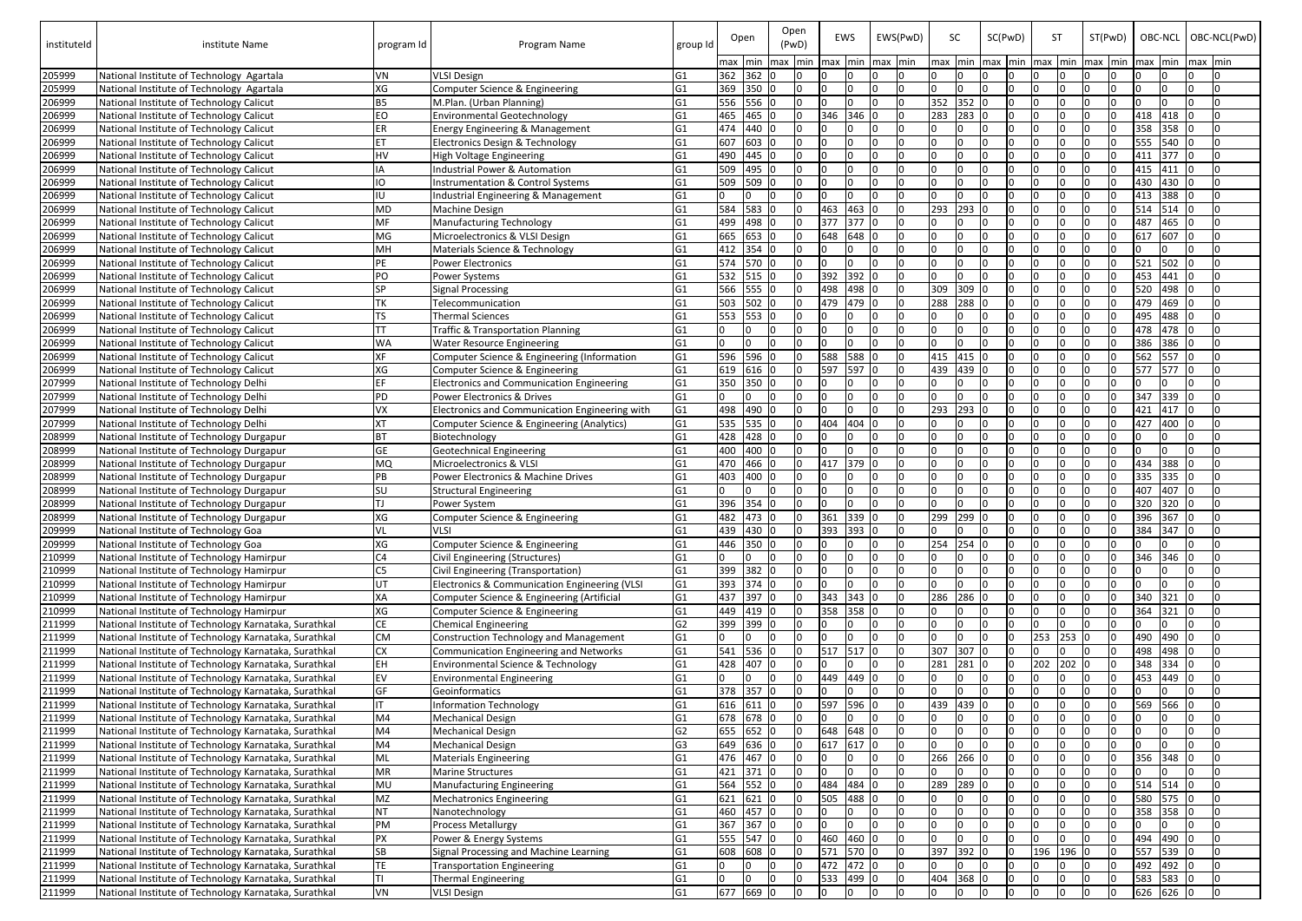| instituteId      | institute Name                                                                         | program Id                       | Program Name                                                                                | group Id                         |     | Open<br>max min max min |              | Open<br>(PwD) | EWS<br>lmax Imin |           | EWS(PwD)<br>max min |           | <b>SC</b><br>min   |     | SC(PwD) | max min max min | <b>ST</b> | ST(PwD)<br>max min | OBC-NCL   OBC-NCL(PwD)<br>max min | max min |     |
|------------------|----------------------------------------------------------------------------------------|----------------------------------|---------------------------------------------------------------------------------------------|----------------------------------|-----|-------------------------|--------------|---------------|------------------|-----------|---------------------|-----------|--------------------|-----|---------|-----------------|-----------|--------------------|-----------------------------------|---------|-----|
| 205999           | National Institute of Technology Agartala                                              | VN                               | <b>VLSI Design</b>                                                                          | G1                               |     | 362 362 0               |              |               |                  |           | I٥                  |           | max                |     |         |                 |           |                    | n                                 |         |     |
| 205999           | National Institute of Technology Agartala                                              | XG                               | Computer Science & Engineering                                                              | G1                               | 369 | 350 0                   |              |               |                  |           |                     | l O       | $\Omega$           |     |         |                 |           |                    |                                   |         |     |
| 206999           | National Institute of Technology Calicut                                               | <b>B5</b>                        | M.Plan. (Urban Planning)                                                                    | G <sub>1</sub>                   | 556 | 556 0                   |              |               |                  |           |                     | 0         | 352<br>352 0       |     |         |                 |           |                    | n.                                |         |     |
| 206999           | National Institute of Technology Calicut                                               | EO                               | <b>Environmental Geotechnology</b>                                                          | G1                               | 465 | 465 0                   |              |               | 346              | 346       |                     | I O       | 283<br>283 0       |     |         |                 |           |                    | 418<br>418                        |         |     |
| 206999           | National Institute of Technology Calicut                                               | <b>ER</b>                        | Energy Engineering & Management                                                             | G1                               | 474 | 440 0                   |              |               |                  |           |                     | 0         |                    |     |         |                 |           |                    | 358<br>358                        |         |     |
| 206999           | National Institute of Technology Calicut                                               |                                  | Electronics Design & Technology                                                             | G1                               | 607 | 603 0                   |              |               |                  |           |                     | $\Omega$  |                    |     |         |                 |           |                    | 555<br>540                        |         |     |
| 206999           | National Institute of Technology Calicut                                               | <b>HV</b>                        | <b>High Voltage Engineering</b>                                                             | G1                               | 490 | 445 0                   |              |               |                  |           |                     | $\Omega$  |                    |     |         |                 |           |                    | 377<br>411                        |         |     |
| 206999           | National Institute of Technology Calicut                                               | ΙA                               | Industrial Power & Automation                                                               | G <sub>1</sub>                   | 509 | 495 0                   |              |               |                  |           |                     | In        |                    |     |         |                 |           |                    | 415<br>411                        |         |     |
| 206999           | National Institute of Technology Calicut                                               | IO                               | <b>Instrumentation &amp; Control Systems</b>                                                | G <sub>1</sub>                   | 509 | 509 0                   |              |               |                  |           | I٥                  |           |                    |     |         |                 |           |                    | 430<br>430                        |         |     |
| 206999           | National Institute of Technology Calicut                                               | IU                               | Industrial Engineering & Management                                                         | G <sub>1</sub>                   |     |                         |              |               |                  |           |                     | In        |                    |     |         |                 |           |                    | 388<br>413                        |         |     |
| 206999           | National Institute of Technology Calicut                                               | MD                               | <b>Machine Design</b>                                                                       | G <sub>1</sub>                   | 584 | 583 0                   |              |               | 463              | 463       |                     | l O       | 293<br>293         |     |         |                 |           |                    | 514<br>514                        |         |     |
| 206999           | National Institute of Technology Calicut                                               | MF                               | <b>Manufacturing Technology</b>                                                             | G <sub>1</sub>                   | 499 | 498 0                   |              |               | 377              | 377       |                     | l O       |                    |     |         |                 |           |                    | 487<br>465                        |         |     |
| 206999           | National Institute of Technology Calicut                                               | MG                               | Microelectronics & VLSI Design                                                              | G <sub>1</sub>                   | 665 | 653 0                   |              |               | 648              | 648       |                     | l N       |                    |     |         |                 |           |                    | 607<br>617                        |         |     |
| 206999           | National Institute of Technology Calicut                                               | MH                               | Materials Science & Technology                                                              | G <sub>1</sub>                   | 412 | 354 0                   |              |               |                  |           |                     |           |                    |     |         |                 |           |                    |                                   |         |     |
| 206999           | National Institute of Technology Calicut                                               | <b>PF</b>                        | <b>Power Electronics</b>                                                                    | G <sub>1</sub>                   | 574 | 570 0                   |              |               |                  |           | I٥                  |           |                    |     |         |                 |           |                    | $521$ 502 0                       |         |     |
| 206999           | National Institute of Technology Calicut                                               | PO                               | Power Systems                                                                               | G <sub>1</sub>                   | 532 | 515 0                   |              |               | $392$ 392        |           |                     | 0         |                    |     |         |                 |           |                    | 453 441 0                         |         |     |
| 206999           | National Institute of Technology Calicut                                               | <b>SP</b>                        | <b>Signal Processing</b>                                                                    | G <sub>1</sub>                   | 566 | 555 0                   |              |               | 498 498 0        |           |                     | 10        | 309<br>309         |     |         |                 |           |                    | 520 498 0                         |         |     |
| 206999           | National Institute of Technology Calicut                                               |                                  | Telecommunication                                                                           | G <sub>1</sub>                   | 503 | $502$ 0                 |              |               | 479 479 0        |           |                     | $\Omega$  | 288<br>288 0       |     |         |                 |           |                    | 479 469 0                         |         |     |
| 206999           | National Institute of Technology Calicut                                               | TS                               | <b>Thermal Sciences</b>                                                                     | G1                               | 553 | 553 0                   |              |               |                  |           |                     |           |                    |     |         |                 |           |                    | 495 488 0                         |         |     |
| 206999           | National Institute of Technology Calicut                                               |                                  | <b>Traffic &amp; Transportation Planning</b>                                                | G1                               |     |                         |              |               |                  |           |                     | In        |                    |     |         |                 |           |                    | 478 478 0                         |         |     |
| 206999           | National Institute of Technology Calicut                                               | <b>WA</b>                        | <b>Water Resource Engineering</b>                                                           | G <sub>1</sub>                   |     |                         |              |               |                  |           |                     | l N       | n.                 |     |         |                 |           |                    | 386 386 0                         |         |     |
| 206999           | National Institute of Technology Calicut                                               |                                  | Computer Science & Engineering (Information                                                 | G <sub>1</sub>                   | 596 | 596 0                   |              | l O           | 588              | 588       |                     | I٥        | 415<br>415 0       |     |         |                 |           |                    | 562 557 0                         |         |     |
| 206999           | National Institute of Technology Calicut                                               | XG                               | Computer Science & Engineering                                                              | G <sub>1</sub>                   | 619 | 616 0                   |              | I٥            | 597              | 597       |                     | 0         | 439<br>439         |     |         |                 |           |                    | 577<br>577                        |         |     |
| 207999           | National Institute of Technology Delhi                                                 |                                  | <b>Electronics and Communication Engineering</b>                                            | G <sub>1</sub>                   | 350 | 350 0                   |              | I∩            | I∩               |           |                     | 0         |                    |     |         |                 |           |                    |                                   |         |     |
| 207999           | National Institute of Technology Delhi                                                 | <b>PD</b>                        | Power Electronics & Drives                                                                  | G <sub>1</sub>                   |     | <sup>n</sup>            | <sup>0</sup> | I٥            | I∩               |           |                     | l O       | n.                 |     |         |                 |           |                    | 347 339                           |         |     |
| 207999           | National Institute of Technology Delhi                                                 | VX                               | Electronics and Communication Engineering with                                              | G <sub>1</sub>                   | 498 | 490 0                   |              |               |                  |           |                     | 0         | 293<br>293         |     |         |                 |           |                    | 421<br>417                        |         |     |
| 207999           | National Institute of Technology Delhi                                                 | <b>XT</b>                        | Computer Science & Engineering (Analytics)                                                  | G1                               | 535 | 535 0                   |              |               | 404              | 404       |                     | 10        |                    |     |         |                 |           |                    | 400<br>427                        |         |     |
| 208999           | National Institute of Technology Durgapur                                              | <b>BT</b>                        | Biotechnology                                                                               | G <sub>1</sub>                   | 428 | 428 0                   |              |               |                  |           |                     | 10        |                    |     |         |                 |           |                    |                                   |         |     |
| 208999           | National Institute of Technology Durgapur                                              | <b>GE</b>                        | <b>Geotechnical Engineering</b>                                                             | G1                               | 400 | 400 0                   |              |               |                  |           |                     | $\Omega$  |                    |     |         |                 |           |                    |                                   |         |     |
| 208999           | National Institute of Technology Durgapur                                              | <b>MQ</b>                        | Microelectronics & VLSI                                                                     | G <sub>1</sub>                   | 470 | 466 0                   |              |               | 417              | 379       |                     | I O       |                    |     |         |                 |           |                    | 388<br>434                        |         |     |
| 208999           | National Institute of Technology Durgapur                                              |                                  | Power Electronics & Machine Drives                                                          | G1                               | 403 | 400 0                   |              |               |                  |           |                     | l O       |                    |     |         |                 |           |                    | 335<br>335                        |         |     |
| 208999           | National Institute of Technology Durgapur                                              | lsu                              | <b>Structural Engineering</b>                                                               | G1                               |     |                         |              |               |                  |           |                     |           |                    |     |         |                 |           |                    | 407<br>407                        |         |     |
| 208999           | National Institute of Technology Durgapur                                              | I⊤۱                              | Power System                                                                                |                                  | 396 | 354 10                  |              | I∩            | I٥               |           |                     | In.       |                    |     |         |                 |           |                    | 320<br>320                        |         | In. |
| 208999           | National Institute of Technology Durgapur                                              | XG                               | Computer Science & Engineering                                                              | G <sub>1</sub>                   | 482 | 473 0                   |              |               | 361              | 339 0     |                     | 10        | 299<br>299         |     |         | I٥              |           |                    | 396 367 0                         |         | I0. |
| 209999           | National Institute of Technology Goa                                                   | VL                               | <b>VLSI</b>                                                                                 | G <sub>1</sub>                   | 439 | 430 0                   |              |               | 393              | 393 0     | lo.                 |           | 0                  |     |         |                 |           |                    | 384 347 0                         |         | I٥  |
| 209999           | National Institute of Technology Goa                                                   | XG                               | Computer Science & Engineering                                                              | G <sub>1</sub>                   | 446 | 350 0<br>In.            |              | I∩<br>I٥      | I∩<br>In         |           |                     | I٥<br>l N | 254<br>254 0       |     |         |                 |           |                    | 0                                 |         |     |
| 210999           | National Institute of Technology Hamirpur                                              | C <sub>4</sub><br>C <sub>5</sub> | Civil Engineering (Structures)                                                              | G <sub>1</sub>                   | 399 | 382 0                   | I٥           |               |                  |           | I٥                  |           |                    | I٥  |         |                 |           |                    | 346 346 0                         |         |     |
| 210999           | National Institute of Technology Hamirpur                                              |                                  | Civil Engineering (Transportation)                                                          | G1                               | 393 | $374 0$                 |              |               |                  |           |                     | l0        |                    |     |         |                 |           |                    | l0.                               |         |     |
| 210999           | National Institute of Technology Hamirpur<br>National Institute of Technology Hamirpur | UT<br>XA                         | Electronics & Communication Engineering (VLSI<br>Computer Science & Engineering (Artificial | G <sub>1</sub><br>G <sub>1</sub> | 437 | 397 0                   |              |               | 343 343 0        |           |                     | Iо        | 286<br>286 0       |     |         |                 |           |                    | 340 321 0                         |         |     |
| 210999<br>210999 | National Institute of Technology Hamirpur                                              | XG                               | Computer Science & Engineering                                                              | G <sub>1</sub>                   | 449 | 419 0                   |              |               |                  | 358 358 C |                     | 10        |                    |     |         |                 |           |                    | 364 321                           | -lo     |     |
| 211999           | National Institute of Technology Karnataka, Surathkal                                  | <b>CE</b>                        | <b>Chemical Engineering</b>                                                                 | G <sub>2</sub>                   | 399 | 399 0                   |              |               | I∩               |           |                     | 0         |                    |     |         |                 |           |                    | IO.                               |         | In. |
| 211999           | National Institute of Technology Karnataka, Surathkal                                  | <b>CM</b>                        | Construction Technology and Management                                                      | G <sub>1</sub>                   |     | In.                     | IО           | I∩            | I∩               |           |                     | l O       | n.<br>$\mathbf{0}$ | In. |         | $253$ 253 0     |           |                    | 490 490 0                         |         | In. |
| 211999           | National Institute of Technology Karnataka, Surathkal                                  | <b>CX</b>                        | Communication Engineering and Networks                                                      | G <sub>1</sub>                   | 541 | 536 0                   |              | 0             |                  | 517 517 0 |                     | Iо        | 307<br>307 0       |     |         |                 |           |                    | 498 498 0                         |         |     |
| 211999           | National Institute of Technology Karnataka, Surathkal                                  | <b>EH</b>                        | Environmental Science & Technology                                                          | G <sub>1</sub>                   | 428 | 407 0                   |              |               | I∩               |           |                     | Iо        | 281<br>281 0       |     |         | 202             | $202$ 0   |                    | $348$ 334 0                       |         |     |
| 211999           | National Institute of Technology Karnataka, Surathkal                                  | EV                               | <b>Environmental Engineering</b>                                                            | G <sub>1</sub>                   |     | In.                     | I٥           | IO.           |                  | 449 449 0 |                     | I0.       | <sup>0</sup>       |     |         |                 |           |                    | 453 449 0                         |         |     |
| 211999           | National Institute of Technology Karnataka, Surathkal                                  | GF                               | Geoinformatics                                                                              | G <sub>1</sub>                   | 378 | $357 0$                 |              | I٥            | In               |           |                     | l O       | n.                 |     |         |                 |           |                    | n.                                |         |     |
| 211999           | National Institute of Technology Karnataka, Surathkal                                  | IT                               | <b>Information Technology</b>                                                               | G <sub>1</sub>                   | 616 | $611$ 0                 |              | l O           | 597              | 596       |                     | Io.       | 439<br>439         |     |         |                 |           |                    | 569 566                           |         |     |
| 211999           | National Institute of Technology Karnataka, Surathkal                                  | M4                               | <b>Mechanical Design</b>                                                                    | G <sub>1</sub>                   |     | 678 678 0               |              | I٥            | In               |           |                     | Iо        | I0.                | 10  |         |                 |           |                    | IO.                               |         |     |
| 211999           | National Institute of Technology Karnataka, Surathkal                                  | M4                               | <b>Mechanical Design</b>                                                                    | G <sub>2</sub>                   | 655 | 652 0                   |              | I٥            | 648              | 648       |                     | Iо        | <sup>0</sup>       |     |         |                 |           |                    | n.                                |         |     |
| 211999           | National Institute of Technology Karnataka, Surathkal                                  | M4                               | <b>Mechanical Design</b>                                                                    | G <sub>3</sub>                   | 649 | 636 0                   |              |               | 617              | 617       |                     | 0         | $\Omega$           |     |         |                 |           |                    | n.                                |         |     |
| 211999           | National Institute of Technology Karnataka, Surathkal                                  | ML                               | <b>Materials Engineering</b>                                                                | G <sub>1</sub>                   | 476 | 467 0                   |              |               |                  |           |                     | 0         | 266<br>266         |     |         |                 |           |                    | 356 348                           |         |     |
| 211999           | National Institute of Technology Karnataka, Surathkal                                  | MR                               | <b>Marine Structures</b>                                                                    | G <sub>1</sub>                   | 421 | $371 0$                 |              |               |                  |           |                     | 0         |                    |     |         |                 |           |                    | l0                                |         |     |
| 211999           | National Institute of Technology Karnataka, Surathkal                                  | <b>MU</b>                        | Manufacturing Engineering                                                                   | G <sub>1</sub>                   | 564 | $552$ 0                 |              |               | 484              | 484       |                     | Iо        | 289<br>289         |     |         |                 |           |                    | 514 514                           |         |     |
| 211999           | National Institute of Technology Karnataka, Surathkal                                  | MZ                               | <b>Mechatronics Engineering</b>                                                             | G1                               | 621 | $621$ 0                 |              |               | 505              | 488       |                     | 0         |                    |     |         |                 |           |                    | 580 575 0                         |         |     |
| 211999           | National Institute of Technology Karnataka, Surathkal                                  | <b>NT</b>                        | Nanotechnology                                                                              | G1                               | 460 | 457 0                   |              |               | In               |           |                     | 10        |                    |     |         |                 |           |                    | 358<br>358                        |         |     |
| 211999           | National Institute of Technology Karnataka, Surathkal                                  | PM                               | <b>Process Metallurgy</b>                                                                   | G <sub>1</sub>                   | 367 | $367$ 0                 |              |               | In               |           |                     | 10        |                    |     |         |                 |           |                    | 10                                |         |     |
| 211999           | National Institute of Technology Karnataka, Surathkal                                  | <b>PX</b>                        | Power & Energy Systems                                                                      | G <sub>1</sub>                   | 555 | 547 0                   |              |               | 460              | 460 C     |                     | Iо        |                    |     |         |                 |           |                    | 494 490 0                         |         |     |
| 211999           | National Institute of Technology Karnataka, Surathkal                                  | <b>SB</b>                        | Signal Processing and Machine Learning                                                      | G <sub>1</sub>                   | 608 | 608 0                   |              |               | <b>571</b>       | 570 0     |                     | Iо        | 397<br>$392$ 0     |     |         | 196             | 196       | I0.                | 557 539 0                         |         | In. |
| 211999           | National Institute of Technology Karnataka, Surathkal                                  | TE                               | <b>Transportation Engineering</b>                                                           | G <sub>1</sub>                   |     |                         | I٥           |               | 472              | 472 0     |                     | Io.       |                    |     |         |                 |           |                    | 492 492 0                         |         |     |
| 211999           | National Institute of Technology Karnataka, Surathkal                                  | lτι                              | <b>Thermal Engineering</b>                                                                  | G1                               |     | $\Omega$                | l0           |               | 533              | 499 C     |                     | l0        | 404<br>368 0       |     |         |                 |           |                    | 583 583 0                         |         | I0. |
| 211999           | National Institute of Technology Karnataka, Surathkal                                  | VN                               | <b>VLSI Design</b>                                                                          | G <sub>1</sub>                   | 677 | 669 0                   |              | IO.           | I٥               |           |                     | Io.       | I0.<br>10          | l0  | In.     | I0.             | l0.       |                    | 626 626 0                         |         | l0  |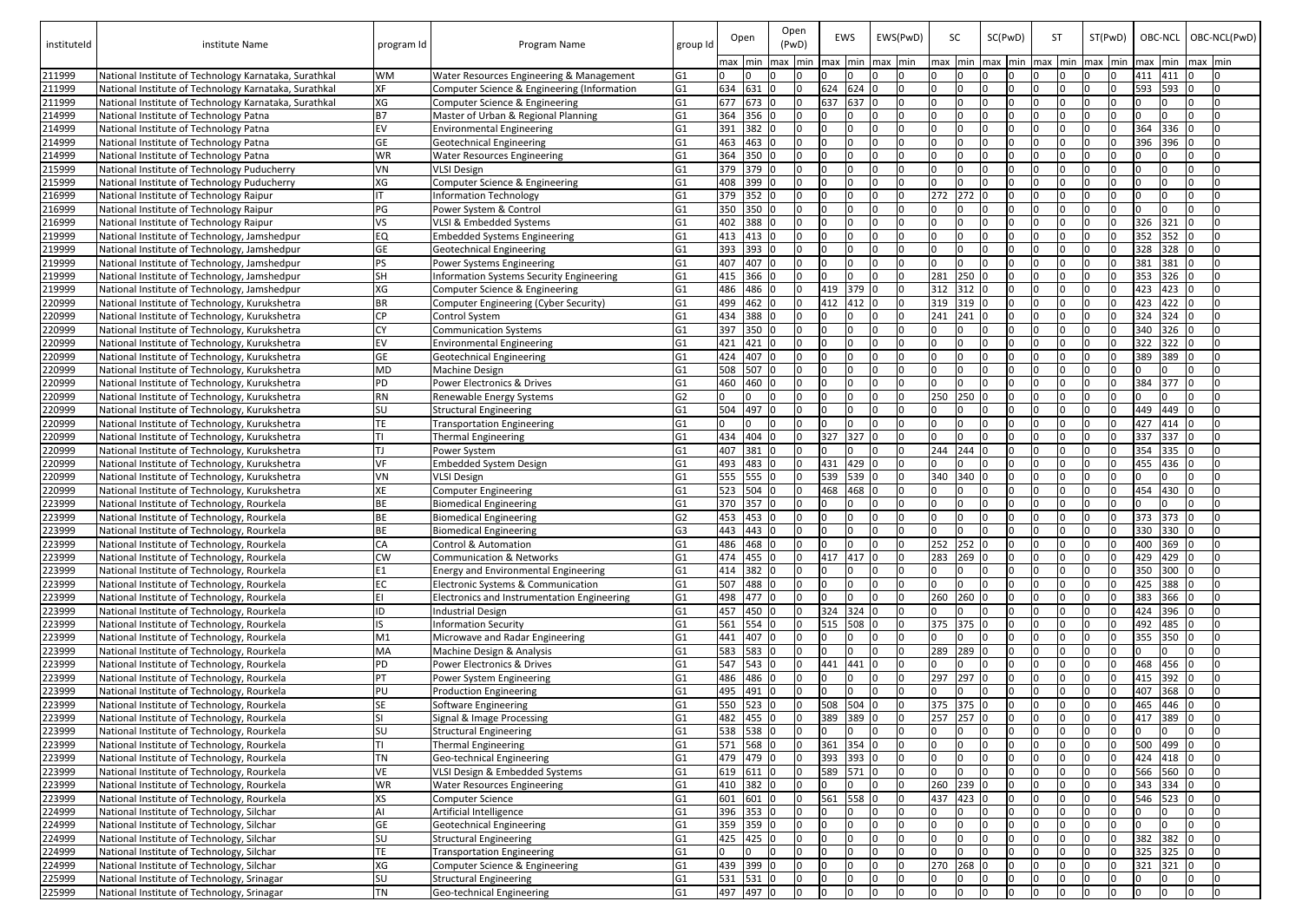| instituteld      | institute Name                                                                                | program Id      | Program Name                                                            | group Id                         |            | Open<br>max min max min | (PwD) | Open | EWS<br>max | Imin               | EWS(PwD)<br>max min |                | <b>SC</b><br><b>max</b> | SC(PwD)<br>min   max   min   max   min |     |     | <b>ST</b> | ST(PwD)<br>$max$ min | OBC-NCL   OBC-NCL(PwD)<br>max min | max min |           |
|------------------|-----------------------------------------------------------------------------------------------|-----------------|-------------------------------------------------------------------------|----------------------------------|------------|-------------------------|-------|------|------------|--------------------|---------------------|----------------|-------------------------|----------------------------------------|-----|-----|-----------|----------------------|-----------------------------------|---------|-----------|
| 211999           | National Institute of Technology Karnataka, Surathkal                                         | <b>WM</b>       | <b>Water Resources Engineering &amp; Management</b>                     | G <sub>1</sub>                   |            |                         |       |      |            |                    |                     | I∩             |                         |                                        |     |     |           |                      | 411 411                           |         |           |
| 211999           | National Institute of Technology Karnataka, Surathkal                                         | ХF              | Computer Science & Engineering (Information                             | G1                               | 634        | 631                     |       | l0.  | 624        | 624                |                     | 0              | n.                      |                                        |     |     |           |                      | 593<br>593                        |         |           |
| 211999           | National Institute of Technology Karnataka, Surathkal                                         | XG              | Computer Science & Engineering                                          | G1                               | 677        | 673 0                   |       | l0.  | 637        | 637                |                     | 0              |                         |                                        |     |     |           |                      |                                   |         |           |
| 214999           | National Institute of Technology Patna                                                        | <b>B7</b>       | Master of Urban & Regional Planning                                     | G1                               | 364        | 356 0                   |       | n    |            |                    |                     | 0              |                         |                                        |     |     |           |                      | n.                                |         |           |
| 214999           | National Institute of Technology Patna                                                        | EV              | <b>Environmental Engineering</b>                                        | G <sub>1</sub>                   | 391        | 382 0                   |       |      |            |                    |                     | 0              |                         |                                        |     |     |           |                      | 364<br>336                        |         |           |
| 214999           | National Institute of Technology Patna                                                        | <b>GE</b>       | <b>Geotechnical Engineering</b>                                         | G1                               | 463        | 463 0                   |       |      |            |                    |                     | 0              |                         |                                        |     |     |           |                      | 396<br>396                        |         |           |
| 214999           | National Institute of Technology Patna                                                        | WR              | <b>Water Resources Engineering</b>                                      | G <sub>1</sub>                   | 364        | 350 0                   |       |      |            |                    |                     | 0              |                         |                                        |     |     |           |                      |                                   |         |           |
| 215999           | National Institute of Technology Puducherry                                                   | VN              | <b>VLSI Design</b>                                                      | G1                               | 379        | 379 0                   |       |      |            |                    |                     | 0              |                         |                                        |     |     |           |                      |                                   |         |           |
| 215999           | National Institute of Technology Puducherry                                                   | ХG              | Computer Science & Engineering                                          | G1                               | 408        | 399 0                   |       |      |            |                    |                     | 0              |                         |                                        |     |     |           |                      |                                   |         |           |
| 216999           | National Institute of Technology Raipur                                                       |                 | Information Technology                                                  | G1                               | 379        | 352 0                   |       |      |            |                    |                     | l O            | 272<br>272              |                                        |     |     |           |                      |                                   |         |           |
| 216999           | National Institute of Technology Raipur                                                       | PG              | Power System & Control                                                  | G <sub>1</sub>                   | 350        | 350 0                   |       |      |            |                    |                     | IO.            |                         |                                        |     |     |           |                      |                                   |         |           |
| 216999           | National Institute of Technology Raipur                                                       | VS              | VLSI & Embedded Systems                                                 | G1                               | 402        | 388 0                   |       |      |            |                    |                     | l O            |                         |                                        |     |     |           |                      | 321<br>326                        |         |           |
| 219999           | National Institute of Technology, Jamshedpur                                                  | EQ              | <b>Embedded Systems Engineering</b>                                     | G1                               | 413        | 413 0                   |       |      |            |                    |                     | In.            |                         |                                        |     |     |           |                      | 352<br>352                        |         |           |
| 219999           | National Institute of Technology, Jamshedpur                                                  | <b>GE</b>       | <b>Geotechnical Engineering</b>                                         | G <sub>1</sub>                   | 393        | 393 0                   |       | In.  |            |                    |                     | l0<br>l O      |                         |                                        |     |     |           |                      | 328<br>328                        |         |           |
| 219999           | National Institute of Technology, Jamshedpur                                                  | <b>PS</b><br>SH | Power Systems Engineering                                               | G1                               | 407<br>415 | 407 0<br>366 0          |       | In.  |            |                    |                     | 0              | 281<br>250 0            |                                        |     |     |           |                      | 381<br>381<br>353 326 0           |         |           |
| 219999           | National Institute of Technology, Jamshedpur                                                  | XG              | Information Systems Security Engineering                                | G1                               | 486        | 486 0                   |       |      | 419 379    |                    |                     | 0              | 312<br>312 0            |                                        |     |     |           |                      | 423 423 0                         |         |           |
| 219999<br>220999 | National Institute of Technology, Jamshedpur<br>National Institute of Technology, Kurukshetra |                 | Computer Science & Engineering<br>Computer Engineering (Cyber Security) | G1<br>G <sub>1</sub>             | 499        | 462 0                   |       |      |            | $\sqrt{412}$ 412 0 |                     | lo.            | 319<br>$319$ 0          |                                        |     |     |           |                      | 423 422 0                         |         |           |
| 220999           | National Institute of Technology, Kurukshetra                                                 | CP              | <b>Control System</b>                                                   | G1                               | 434        | 388 0                   |       |      |            |                    |                     | l O            | 241<br>$241$ 0          |                                        |     |     |           |                      | $324$ 324 0                       |         |           |
| 220999           | National Institute of Technology, Kurukshetra                                                 |                 | <b>Communication Systems</b>                                            | G <sub>1</sub>                   | 397        | 350 0                   |       |      |            |                    |                     | l <sub>0</sub> |                         |                                        |     |     |           |                      | 340 326 0                         |         |           |
| 220999           | National Institute of Technology, Kurukshetra                                                 |                 | <b>Environmental Engineering</b>                                        | G <sub>1</sub>                   | 421        | 421 0                   |       |      |            |                    |                     | <sup>n</sup>   |                         |                                        |     |     |           |                      | 322<br>322   0                    |         |           |
| 220999           | National Institute of Technology, Kurukshetra                                                 | GE              | Geotechnical Engineering                                                | G <sub>1</sub>                   | 424        | 407 0                   |       | IO.  | I∩         |                    |                     | l N            | n                       |                                        |     |     |           |                      | 389 389 0                         |         |           |
| 220999           | National Institute of Technology, Kurukshetra                                                 | MD              | <b>Machine Design</b>                                                   | G1                               | 508        | 507 0                   |       | In   |            |                    |                     | l0             |                         |                                        |     |     |           |                      |                                   |         |           |
| 220999           | National Institute of Technology, Kurukshetra                                                 | <b>PD</b>       | Power Electronics & Drives                                              | G <sub>1</sub>                   | 460        | 460 0                   |       | In   | I∩         |                    |                     | l O            |                         |                                        |     |     |           |                      | 384 377                           | IО      |           |
| 220999           | National Institute of Technology, Kurukshetra                                                 | <b>RN</b>       | Renewable Energy Systems                                                | G <sub>2</sub>                   |            |                         | I∩    | In.  | I∩         |                    |                     | l N            | 250<br>250 0            |                                        |     |     |           |                      | In.                               |         |           |
| 220999           | National Institute of Technology, Kurukshetra                                                 | SU              | <b>Structural Engineering</b>                                           | G1                               | 504        | 497 0                   |       | n    | I∩         |                    |                     | IO.            |                         |                                        |     |     |           |                      | 449 449                           |         |           |
| 220999           | National Institute of Technology, Kurukshetra                                                 | <b>TE</b>       | <b>Transportation Engineering</b>                                       | G1                               |            |                         |       | l n  |            |                    |                     | 0              | n.                      |                                        |     |     |           |                      | 427 414 0                         |         |           |
| 220999           | National Institute of Technology, Kurukshetra                                                 |                 | <b>Thermal Engineering</b>                                              | G1                               | 434        | 404 0                   |       | IO.  | 327        | 327                |                     | lo.            | I٥<br>I٥                | ΙO                                     |     |     |           |                      | 337 337 0                         |         |           |
| 220999           | National Institute of Technology, Kurukshetra                                                 |                 | Power System                                                            | G1                               | 407        | 381 0                   |       |      |            |                    |                     | 0              | 244<br>244 0            |                                        |     |     |           |                      | 354<br>335                        |         |           |
| 220999           | National Institute of Technology, Kurukshetra                                                 | VF              | Embedded System Design                                                  | G1                               | 493        | 483 0                   |       |      | 431        | 429                |                     | 0              |                         |                                        |     |     |           |                      | 455 436                           |         |           |
| 220999           | National Institute of Technology, Kurukshetra                                                 | VN              | <b>VLSI Design</b>                                                      | G1                               | 555        | 555 0                   |       |      | 539        | $539$ C            |                     | lo.            | 340<br>340 0            |                                        |     |     |           |                      |                                   |         |           |
| 220999           | National Institute of Technology, Kurukshetra                                                 |                 | <b>Computer Engineering</b>                                             | G1                               | 523        | 504 0                   |       |      | 468        | 468                |                     | 0              |                         |                                        |     |     |           |                      | 430<br>454                        |         |           |
| 223999           | National Institute of Technology, Rourkela                                                    |                 | <b>Biomedical Engineering</b>                                           | G <sub>1</sub>                   | 370        | 357 0                   |       |      | ıо         |                    |                     | l N            |                         | I٥                                     |     | ΙO  |           | ıο                   |                                   |         | In.       |
| 223999           | National Institute of Technology, Rourkela                                                    | <b>BE</b>       | <b>Biomedical Engineering</b>                                           | G <sub>2</sub>                   | 453        | 453 0                   |       |      | I٨         |                    |                     | I O            | I٥<br>n.                | 10                                     |     |     |           |                      | 373 373 0                         |         | I0.       |
| 223999           | National Institute of Technology, Rourkela                                                    |                 | <b>Biomedical Engineering</b>                                           | G <sub>3</sub>                   | 443        | 443 0                   |       |      |            |                    |                     | 0              | n                       | In.                                    |     |     |           |                      | 330 330 0                         |         |           |
| 223999           | National Institute of Technology, Rourkela                                                    | CA              | Control & Automation                                                    | G <sub>1</sub>                   | 486        | 468 0                   |       |      |            |                    |                     | <b>O</b>       | 252<br>252 0            |                                        |     |     |           |                      | 400 369 0                         |         | IO.       |
| 223999           | National Institute of Technology, Rourkela                                                    | <b>CW</b>       | Communication & Networks                                                | G <sub>1</sub>                   | 474        | 455 0                   |       | In.  | 417        | 417 0              |                     | <b>O</b>       | 283<br>$269$ 0          |                                        |     |     |           |                      | 429 429 0                         |         | In.       |
| 223999           | National Institute of Technology, Rourkela                                                    |                 | <b>Energy and Environmental Engineering</b>                             | G1                               | 414        | 382 0                   |       |      |            |                    |                     | <b>0</b>       |                         |                                        |     |     |           |                      | 350 300 0                         |         |           |
| 223999           | National Institute of Technology, Rourkela                                                    | EC              | Electronic Systems & Communication                                      | G1                               | 507        | 488 0                   |       |      |            |                    |                     | l O            |                         |                                        |     |     |           |                      | 425 388 0                         |         |           |
| 223999           | National Institute of Technology, Rourkela                                                    | FI<br>ID        | Electronics and Instrumentation Engineering                             | G1                               | 498        | 477 0                   |       |      | 324        |                    |                     | l O<br>0       | 260<br>260 0            |                                        |     |     |           |                      | 383 366 0<br>424 396 0            |         |           |
| 223999<br>223999 | National Institute of Technology, Rourkela<br>National Institute of Technology, Rourkela      | IS              | Industrial Design                                                       | G <sub>1</sub><br>G <sub>1</sub> | 457<br>561 | 450 0<br>554 0          |       |      |            | 324<br>515 508 0   |                     | lo.            | 375<br>375 0            |                                        |     |     |           |                      | 492 485 0                         |         |           |
| 223999           | National Institute of Technology, Rourkela                                                    | M1              | <b>Information Security</b><br>Microwave and Radar Engineering          | G <sub>1</sub>                   |            | 441 407 0               |       |      |            |                    |                     | l O            | l0.                     | 10                                     |     |     |           |                      | 355 350 0                         |         |           |
| 223999           | National Institute of Technology, Rourkela                                                    | MA              | Machine Design & Analysis                                               | G1                               | 583        | 583 0                   |       |      |            |                    |                     | 0              | 289<br>289 0            |                                        |     |     |           |                      | IO.                               |         |           |
| 223999           | National Institute of Technology, Rourkela                                                    | PD              | Power Electronics & Drives                                              | G1                               | 547        | $543$ 0                 |       | In.  | 441 441    |                    |                     | l O            |                         |                                        |     |     |           |                      | 468 456 0                         |         |           |
| 223999           | National Institute of Technology, Rourkela                                                    |                 | Power System Engineering                                                | G1                               | 486        | 486 0                   |       |      |            |                    |                     | l0.            | 297<br>297 0            |                                        |     |     |           |                      | 415 392 0                         |         |           |
| 223999           | National Institute of Technology, Rourkela                                                    |                 | <b>Production Engineering</b>                                           | G <sub>1</sub>                   | 495        | 491 0                   |       | IO.  |            |                    |                     | 0              | l0.                     |                                        |     |     |           |                      | 407 368 0                         |         |           |
| 223999           | National Institute of Technology, Rourkela                                                    | SE              | Software Engineering                                                    | G1                               | 550        | 523 0                   |       | IO.  |            | 508 504 0          |                     | lo             | 375 375 0               |                                        |     |     |           |                      | 465 446 0                         |         |           |
| 223999           | National Institute of Technology, Rourkela                                                    | SI              | Signal & Image Processing                                               | G <sub>1</sub>                   | 482        | 455 0                   |       | IО   |            | 389 389 0          |                     | lo             | 257<br>$257$ 0          |                                        |     |     |           |                      | 417 389 0                         |         |           |
| 223999           | National Institute of Technology, Rourkela                                                    | SU              | <b>Structural Engineering</b>                                           | G <sub>1</sub>                   | 538        | 538 0                   |       | I0.  | I۵         |                    |                     | <b>O</b>       |                         |                                        |     |     |           |                      | I۵                                |         |           |
| 223999           | National Institute of Technology, Rourkela                                                    |                 | <b>Thermal Engineering</b>                                              | G1                               | 571        | 568 0                   |       | IO.  | 361        | 354                |                     | 0              | n.                      |                                        |     |     |           |                      | 500 499                           |         |           |
| 223999           | National Institute of Technology, Rourkela                                                    | ΤN              | Geo-technical Engineering                                               | G1                               | 479        | 479 0                   |       |      | 393 393    |                    |                     | l0             | I0.                     |                                        |     |     |           |                      | 424 418 0                         |         |           |
| 223999           | National Institute of Technology, Rourkela                                                    | VE              | VLSI Design & Embedded Systems                                          | G <sub>1</sub>                   | 619        | $611$ 0                 |       | n    |            | 589 571 0          |                     | lo.            | I0.<br>I0               | ΙO                                     |     |     |           |                      | 566 560 0                         |         |           |
| 223999           | National Institute of Technology, Rourkela                                                    | WR              | <b>Water Resources Engineering</b>                                      | G1                               | 410        | 382 0                   |       |      |            |                    |                     | 0              | 260<br>239 0            |                                        |     |     |           |                      | 343 334 0                         |         |           |
| 223999           | National Institute of Technology, Rourkela                                                    | ΧS              | <b>Computer Science</b>                                                 | G1                               | 601        | 601 0                   |       |      | 561        | 558                |                     | 0              | 437<br>423 0            |                                        |     |     |           |                      | 546 523                           |         |           |
| 224999           | National Institute of Technology, Silchar                                                     |                 | Artificial Intelligence                                                 | G <sub>1</sub>                   | 396        | 353 0                   |       |      |            |                    |                     | 0              |                         | I٥                                     |     |     |           |                      | n.                                |         |           |
| 224999           | National Institute of Technology, Silchar                                                     | GE              | <b>Geotechnical Engineering</b>                                         | G1                               | 359        | 359 0                   |       |      |            |                    |                     | 0              |                         |                                        |     |     |           |                      | n.                                |         |           |
| 224999           | National Institute of Technology, Silchar                                                     | SU              | <b>Structural Engineering</b>                                           | G1                               | 425        | 425 0                   |       |      |            |                    |                     | 0              |                         |                                        |     |     |           |                      | 382 382                           |         |           |
| 224999           | National Institute of Technology, Silchar                                                     | TE              | <b>Transportation Engineering</b>                                       | G1                               |            | $\cap$                  | In.   |      |            |                    |                     | 0              | n                       | I٥                                     |     |     |           |                      | 325 325 0                         |         | In.       |
| 224999           | National Institute of Technology, Silchar                                                     | XG              | Computer Science & Engineering                                          | G <sub>1</sub>                   | 439        | 399 0                   |       |      |            |                    |                     | 0              | 270<br>268 0            |                                        |     |     |           |                      | 321<br>321                        |         | In.       |
| 225999           | National Institute of Technology, Srinagar                                                    | SU              | <b>Structural Engineering</b>                                           | G <sub>1</sub>                   | 531        | 531 0                   |       | I O  | IО         |                    |                     | I O            |                         | I0                                     |     |     |           |                      | 10                                |         | 10        |
| 225999           | National Institute of Technology, Srinagar                                                    | <b>TN</b>       | Geo-technical Engineering                                               | G <sub>1</sub>                   |            | 497 497 0               |       | Io.  | Iо         |                    |                     | I٥             | lo.                     | <u>Io</u>                              | ln. | In. |           | In                   | Io.                               | I0.     | <u>Io</u> |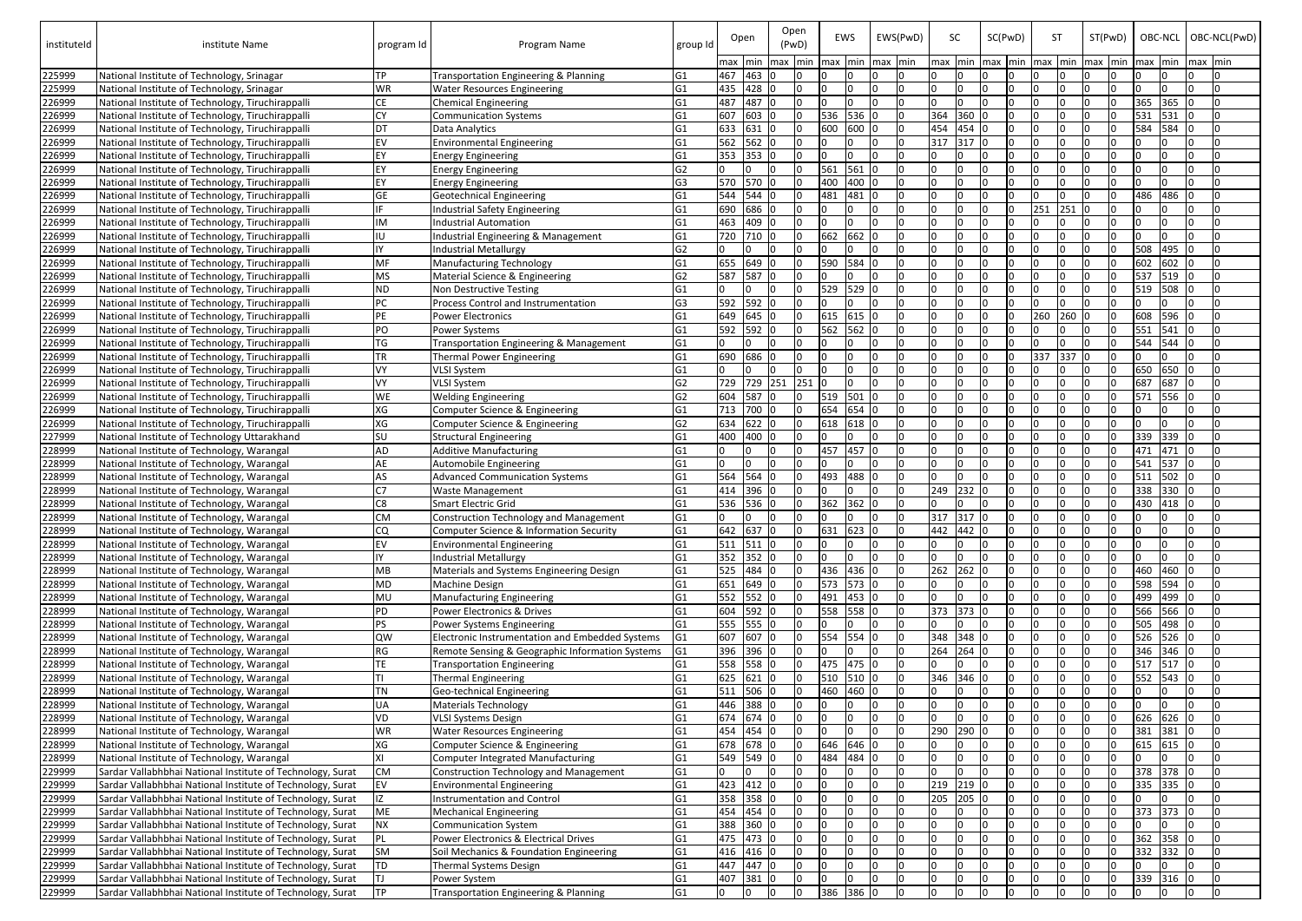| instituteId      | institute Name                                                                           | program Id | Program Name                                            | group Id             |     | Open         | Open<br>(PwD)<br>max   min   max   min |          | max   min      | EWS       | EWS(PwD)<br>max min |              | <b>SC</b><br>max | SC(PwD) |          | -ST<br>min   max   min   max   min |     | ST(PwD)<br>$max$   min | OBC-NCL   OBC-NCL(PwD)<br>max min | max min |     |
|------------------|------------------------------------------------------------------------------------------|------------|---------------------------------------------------------|----------------------|-----|--------------|----------------------------------------|----------|----------------|-----------|---------------------|--------------|------------------|---------|----------|------------------------------------|-----|------------------------|-----------------------------------|---------|-----|
| 225999           | National Institute of Technology, Srinagar                                               | <b>TP</b>  | Transportation Engineering & Planning                   | G <sub>1</sub>       | 467 | 463 0        |                                        | I٥       |                |           | I∩                  |              | n.               |         |          |                                    |     |                        |                                   |         |     |
| 225999           | National Institute of Technology, Srinagar                                               | <b>WR</b>  | <b>Water Resources Engineering</b>                      | G <sub>1</sub>       | 435 | 428 0        |                                        | 0        | I٥             |           |                     | l O          | I0.              |         |          |                                    |     |                        | n.                                |         |     |
| 226999           | National Institute of Technology, Tiruchirappalli                                        | <b>CE</b>  | <b>Chemical Engineering</b>                             | G <sub>1</sub>       | 487 | 487 0        |                                        | l0.      | I∩             |           |                     | l0           | $\Omega$         |         |          |                                    |     |                        | 365<br>365                        |         |     |
| 226999           | National Institute of Technology, Tiruchirappalli                                        | <b>CY</b>  | <b>Communication Systems</b>                            | G1                   | 607 | 603 0        |                                        | <u>0</u> | 536            | 536 C     | Iо                  |              | 364<br>360 0     |         |          |                                    |     |                        | 531<br>531                        |         |     |
| 226999           | National Institute of Technology, Tiruchirappalli                                        | DT         | Data Analytics                                          | G <sub>1</sub>       | 633 | 631 0        |                                        |          | 600            | 600       | l0                  |              | 454<br>454 0     |         |          |                                    |     |                        | 584<br>584                        |         |     |
| 226999           | National Institute of Technology, Tiruchirappalli                                        | EV         | <b>Environmental Engineering</b>                        | G <sub>1</sub>       | 562 | $562$ 0      |                                        |          |                |           |                     | 0            | 317<br>317 0     |         |          |                                    |     |                        |                                   |         |     |
| 226999           | National Institute of Technology, Tiruchirappalli                                        | EY         | <b>Energy Engineering</b>                               | G <sub>1</sub>       | 353 | 353 0        |                                        |          |                |           |                     | 10           |                  |         |          |                                    |     |                        | n.                                |         |     |
| 226999           | National Institute of Technology, Tiruchirappalli                                        | EY         | <b>Energy Engineering</b>                               | G <sub>2</sub>       |     |              | ın                                     |          | 561            | 561       |                     | 0            |                  |         |          |                                    |     |                        |                                   |         |     |
| 226999           | National Institute of Technology, Tiruchirappalli                                        |            | <b>Energy Engineering</b>                               | G3                   | 570 | 570 0        |                                        |          | 400            | 400       |                     | 10           |                  |         |          |                                    |     |                        |                                   |         |     |
| 226999           | National Institute of Technology, Tiruchirappalli                                        | <b>GE</b>  | <b>Geotechnical Engineering</b>                         | G1                   | 544 | $544$ 0      |                                        |          | 481            | 481       |                     | 0            |                  |         |          |                                    |     |                        | 486<br>486                        |         |     |
| 226999           | National Institute of Technology, Tiruchirappalli                                        | IF         | Industrial Safety Engineering                           | G <sub>1</sub>       | 690 | 686 0        |                                        |          |                |           |                     | I0.          |                  |         |          | 251                                | 251 |                        |                                   |         |     |
| 226999           | National Institute of Technology, Tiruchirappalli                                        | IM         | <b>Industrial Automation</b>                            | G <sub>1</sub>       | 463 | 409 0        |                                        |          |                |           | $\Omega$            |              |                  |         |          |                                    |     |                        |                                   |         |     |
| 226999           | National Institute of Technology, Tiruchirappalli                                        | IIU        | Industrial Engineering & Management                     | G <sub>1</sub>       | 720 | 710 0        |                                        |          | 662            | 562       |                     | In.          |                  |         |          |                                    |     |                        |                                   |         |     |
| 226999           | National Institute of Technology, Tiruchirappalli                                        | IY         | <b>Industrial Metallurgy</b>                            | G <sub>2</sub>       |     |              |                                        |          |                |           |                     |              |                  |         |          |                                    |     |                        | 495<br>508                        |         |     |
| 226999           | National Institute of Technology, Tiruchirappalli                                        | MF         | <b>Manufacturing Technology</b>                         | G <sub>1</sub>       | 655 | 649 0        |                                        |          | 590            | 584       |                     | l N          |                  |         |          |                                    |     |                        | 602<br>602                        |         |     |
| 226999           | National Institute of Technology, Tiruchirappalli                                        | <b>MS</b>  | Material Science & Engineering                          | G <sub>2</sub>       | 587 | 587 0        |                                        |          |                |           |                     | l N          |                  |         |          |                                    |     |                        | 537 519 0                         |         |     |
| 226999           | National Institute of Technology, Tiruchirappalli                                        | ND         | Non Destructive Testing                                 | G <sub>1</sub>       |     |              |                                        |          | 529            | 529       |                     | l0           |                  |         |          |                                    |     |                        | 519 508                           |         |     |
| 226999           | National Institute of Technology, Tiruchirappalli                                        | PC         | Process Control and Instrumentation                     | G <sub>3</sub>       | 592 | 592 0        |                                        |          |                |           |                     |              |                  |         |          |                                    |     |                        |                                   |         |     |
| 226999           | National Institute of Technology, Tiruchirappalli                                        | <b>PE</b>  | Power Electronics                                       | G <sub>1</sub>       | 649 | 645 0        |                                        |          | 615            | 615       |                     | 0            |                  |         |          | 260 260                            |     |                        | 608 596 0                         |         |     |
| 226999           | National Institute of Technology, Tiruchirappalli                                        | PO         | <b>Power Systems</b>                                    | G <sub>1</sub>       | 592 | 592 0        |                                        |          |                | 562 562 0 |                     | $\Omega$     |                  |         |          |                                    |     |                        | 551 541                           |         |     |
| 226999           | National Institute of Technology, Tiruchirappalli                                        | <b>TG</b>  | Transportation Engineering & Management                 | G <sub>1</sub>       |     |              |                                        |          |                |           |                     | <sup>n</sup> |                  |         |          |                                    |     |                        | 544 544                           |         |     |
| 226999           | National Institute of Technology, Tiruchirappalli                                        | <b>TR</b>  | <b>Thermal Power Engineering</b>                        | G <sub>1</sub>       | 690 | 686 0        |                                        | In       | I∩             |           |                     | <sup>n</sup> | n.               |         |          | 337                                | 337 | I٥                     | n.                                |         |     |
| 226999           | National Institute of Technology, Tiruchirappalli                                        | VY         | <b>VLSI System</b>                                      | G1                   |     |              |                                        |          | I∩             |           | In                  |              |                  |         |          |                                    |     |                        | 650 650                           |         |     |
| 226999           | National Institute of Technology, Tiruchirappalli                                        | VY         | <b>VLSI System</b>                                      | G <sub>2</sub>       | 729 | 729 251      |                                        | 251 0    |                |           |                     | l O          | n.               |         |          |                                    |     |                        | 687 687 0                         |         |     |
| 226999           | National Institute of Technology, Tiruchirappalli                                        | <b>WE</b>  | <b>Welding Engineering</b>                              | G <sub>2</sub>       | 604 | 587 0        |                                        | I0.      | 519 501<br>654 |           | I0.                 |              | n.<br>n.         |         |          |                                    |     |                        | 571 556 0                         |         |     |
| 226999           | National Institute of Technology, Tiruchirappalli                                        | XG         | Computer Science & Engineering                          | G1                   | 713 | 700 0        |                                        | <b>0</b> |                | 654       |                     | 10           |                  |         |          |                                    |     |                        | In.                               |         |     |
| 226999           | National Institute of Technology, Tiruchirappalli                                        | XG         | Computer Science & Engineering                          | G <sub>2</sub>       | 634 | $622$ 0      |                                        | 0<br>I∩  | 618<br>I∩      | 618       |                     | 0            | IО               |         |          |                                    |     |                        |                                   |         |     |
| 227999           | National Institute of Technology Uttarakhand                                             | <b>SU</b>  | <b>Structural Engineering</b>                           | G <sub>1</sub>       | 400 | 400 0        |                                        |          | 457            | 457       | $\Omega$            | 0            | I0.              |         |          |                                    |     |                        | 339 339<br>471<br>471             |         |     |
| 228999<br>228999 | National Institute of Technology, Warangal<br>National Institute of Technology, Warangal | AD<br>AE   | <b>Additive Manufacturing</b><br>Automobile Engineering | G1<br>G <sub>1</sub> |     |              |                                        |          |                |           |                     | 0            |                  |         |          |                                    |     |                        | 541<br>537 0                      |         |     |
| 228999           | National Institute of Technology, Warangal                                               | AS         | <b>Advanced Communication Systems</b>                   | G1                   | 564 | 564 0        |                                        |          | 493            | 488       |                     | 10           | <sup>0</sup>     |         |          |                                    |     |                        | $511$ 502                         |         |     |
| 228999           | National Institute of Technology, Warangal                                               |            | Waste Management                                        | G1                   | 414 | 396 0        |                                        |          |                |           |                     | 10           | 249<br>232       |         |          |                                    |     |                        | 338<br>330                        |         |     |
| 228999           | National Institute of Technology, Warangal                                               |            | <b>Smart Electric Grid</b>                              | G <sub>1</sub>       | 536 | 536 0        |                                        | I۵       | 362            | 362       |                     |              |                  |         |          | I٨                                 |     |                        | 430<br>418                        |         |     |
| 228999           | National Institute of Technology, Warangal                                               | <b>CM</b>  | Construction Technology and Management                  | G <sub>1</sub>       |     | IO.          | IО                                     | ıΩ       | In             |           | IО                  |              | 317<br>$317$ 0   |         |          | I٨                                 |     |                        | l0                                |         | In  |
| 228999           | National Institute of Technology, Warangal                                               | <b>CQ</b>  | Computer Science & Information Security                 | G <sub>1</sub>       | 642 | 637 0        |                                        |          | 631            | 623       | I0                  |              | 442<br>442 0     |         |          |                                    |     |                        | n.                                |         |     |
| 228999           | National Institute of Technology, Warangal                                               | EV         | Environmental Engineering                               | G <sub>1</sub>       | 511 | 511 0        |                                        |          |                |           | Iо                  |              |                  |         |          |                                    |     |                        | l0                                |         |     |
| 228999           | National Institute of Technology, Warangal                                               | IY         | <b>Industrial Metallurgy</b>                            | G <sub>1</sub>       | 352 | 352 0        |                                        |          | I∩             |           |                     | 0            |                  |         |          |                                    |     |                        | IO.                               |         |     |
| 228999           | National Institute of Technology, Warangal                                               | MB         | Materials and Systems Engineering Design                | G <sub>1</sub>       | 525 | 484 0        |                                        |          | 436            | $436$ C   | Iо                  |              | 262<br>262       |         |          |                                    |     |                        | 460<br>460                        |         |     |
| 228999           | National Institute of Technology, Warangal                                               | MD         | <b>Machine Design</b>                                   | G <sub>1</sub>       | 651 | 649 0        |                                        |          | 573            | 573 C     | I0.                 |              |                  |         |          |                                    |     |                        | 598 594 0                         |         |     |
| 228999           | National Institute of Technology, Warangal                                               | <b>MU</b>  | <b>Manufacturing Engineering</b>                        | G <sub>1</sub>       | 552 | $552$ 0      |                                        |          | 491            | 453 0     | Io.                 |              | l0               |         |          |                                    |     |                        | 499 499 0                         |         |     |
| 228999           | National Institute of Technology, Warangal                                               | <b>PD</b>  | Power Electronics & Drives                              | G <sub>1</sub>       | 604 | 592 0        |                                        |          | 558            | 558 0     | I0.                 |              | 373<br>373 0     |         |          |                                    |     |                        | 566 566 0                         |         |     |
| 228999           | National Institute of Technology, Warangal                                               | <b>PS</b>  | Power Systems Engineering                               | G <sub>1</sub>       | 555 | 555 0        |                                        |          |                |           | I٥                  |              |                  |         |          |                                    |     |                        | 505 498 0                         |         |     |
| 228999           | National Institute of Technology, Warangal                                               | low        | Electronic Instrumentation and Embedded Systems         | G <sub>1</sub>       | 607 | 607 0        |                                        |          |                | 554 554 C | Io.                 |              | 348<br>348 0     |         |          |                                    |     |                        | 526 526 0                         |         |     |
| 228999           | National Institute of Technology, Warangal                                               | RG         | Remote Sensing & Geographic Information Systems         | G <sub>1</sub>       | 396 | 396 0        |                                        |          |                |           |                     | 10           | 264<br>$264$ 0   |         |          |                                    |     |                        | 346 346 0                         |         |     |
| 228999           | National Institute of Technology, Warangal                                               | <b>TE</b>  | <b>Transportation Engineering</b>                       | G <sub>1</sub>       | 558 | 558 0        |                                        |          |                | 475 475 ( |                     | 0            |                  |         |          |                                    |     |                        | 517 517 0                         |         |     |
| 228999           | National Institute of Technology, Warangal                                               | ΤI         | <b>Thermal Engineering</b>                              | G1                   | 625 | $621$ 0      |                                        |          |                | 510 510 0 |                     | l0           | 346<br>$346$ 0   |         |          |                                    |     |                        | 552 543 0                         |         |     |
| 228999           | National Institute of Technology, Warangal                                               | <b>TN</b>  | Geo-technical Engineering                               | G1                   | 511 | 506 0        |                                        | I۵       |                | 460 460 C |                     | 0            |                  |         |          |                                    |     |                        | n.                                |         |     |
| 228999           | National Institute of Technology, Warangal                                               | UA         | <b>Materials Technology</b>                             | G <sub>1</sub>       |     | 446 388 0    |                                        |          | I∩             |           |                     | l O          | n.               |         |          |                                    |     |                        | IO.                               |         |     |
| 228999           | National Institute of Technology, Warangal                                               | VD         | <b>VLSI Systems Design</b>                              | G <sub>1</sub>       | 674 | 674 0        |                                        | <b>0</b> | Io.            |           | I٥                  |              | I0.<br>I٥        |         |          |                                    |     |                        | 626 626 0                         |         |     |
| 228999           | National Institute of Technology, Warangal                                               | <b>WR</b>  | <b>Water Resources Engineering</b>                      | G <sub>1</sub>       | 454 | 454 0        |                                        | <b>0</b> | In             |           |                     | 0            | 290<br>290       |         |          |                                    |     |                        | 381 381                           |         |     |
| 228999           | National Institute of Technology, Warangal                                               | XG         | Computer Science & Engineering                          | G <sub>1</sub>       | 678 | 678 0        |                                        | I∩       | 646            | 646       |                     | 10           |                  |         |          |                                    |     |                        | 615 615 0                         |         |     |
| 228999           | National Institute of Technology, Warangal                                               | ΙXΙ        | <b>Computer Integrated Manufacturing</b>                | G <sub>1</sub>       | 549 | $549$ 0      |                                        |          | 484            | 484       |                     | 0            | $\Omega$         |         |          |                                    |     |                        |                                   |         |     |
| 229999           | Sardar Vallabhbhai National Institute of Technology, Surat                               | <b>CM</b>  | Construction Technology and Management                  | G <sub>1</sub>       |     | <sup>n</sup> | 10                                     | I٥       | In             |           |                     | 10           | n.               |         |          |                                    |     |                        | 378 378 0                         |         |     |
| 229999           | Sardar Vallabhbhai National Institute of Technology, Surat                               |            | <b>Environmental Engineering</b>                        | G <sub>1</sub>       | 423 | 412 0        |                                        |          |                |           | I٥                  |              | 219<br>219 0     |         |          |                                    |     |                        | 335 335                           |         |     |
| 229999           | Sardar Vallabhbhai National Institute of Technology, Surat                               |            | Instrumentation and Control                             | G <sub>1</sub>       | 358 | 358 0        |                                        |          |                |           |                     | 10           | 205<br>205       |         |          |                                    |     |                        |                                   |         |     |
| 229999           | Sardar Vallabhbhai National Institute of Technology, Surat                               | ME         | <b>Mechanical Engineering</b>                           | G <sub>1</sub>       | 454 | 454 0        |                                        |          |                |           |                     | 10           |                  |         |          |                                    |     |                        | 373 373                           |         |     |
| 229999           | Sardar Vallabhbhai National Institute of Technology, Surat                               | ΝX         | <b>Communication System</b>                             | G <sub>1</sub>       | 388 | 360 0        |                                        |          |                |           |                     | I O          |                  |         |          |                                    |     |                        |                                   |         |     |
| 229999           | Sardar Vallabhbhai National Institute of Technology, Surat                               |            | Power Electronics & Electrical Drives                   | G <sub>1</sub>       | 475 | 473 0        |                                        |          |                |           |                     | 0            |                  |         |          |                                    |     |                        | 362 358                           |         |     |
| 229999           | Sardar Vallabhbhai National Institute of Technology, Surat                               | <b>SM</b>  | Soil Mechanics & Foundation Engineering                 | G <sub>1</sub>       | 416 | 416 0        |                                        |          |                |           |                     | 0            |                  |         |          |                                    |     |                        | 332<br>332                        | 10      |     |
| 229999           | Sardar Vallabhbhai National Institute of Technology, Surat                               | TD         | Thermal Systems Design                                  | G <sub>1</sub>       | 447 | 447 0        |                                        |          | In             |           |                     | 0            |                  |         |          |                                    |     |                        | l0                                |         | In. |
| 229999           | Sardar Vallabhbhai National Institute of Technology, Surat                               |            | Power System                                            | G <sub>1</sub>       | 407 | 381 0        |                                        | I٥       | I∩             |           |                     | 10           |                  |         | $\Omega$ | In.                                |     |                        | 339 316 0                         |         |     |
| 229999           | Sardar Vallabhbhai National Institute of Technology, Surat                               | <b>TP</b>  | Transportation Engineering & Planning                   | G <sub>1</sub>       | Io- | 0            | lo.                                    | <b>O</b> |                | 386 386 0 | I٥                  |              | Io.              | I٥      |          |                                    |     |                        | IO.                               | I٥      | In. |